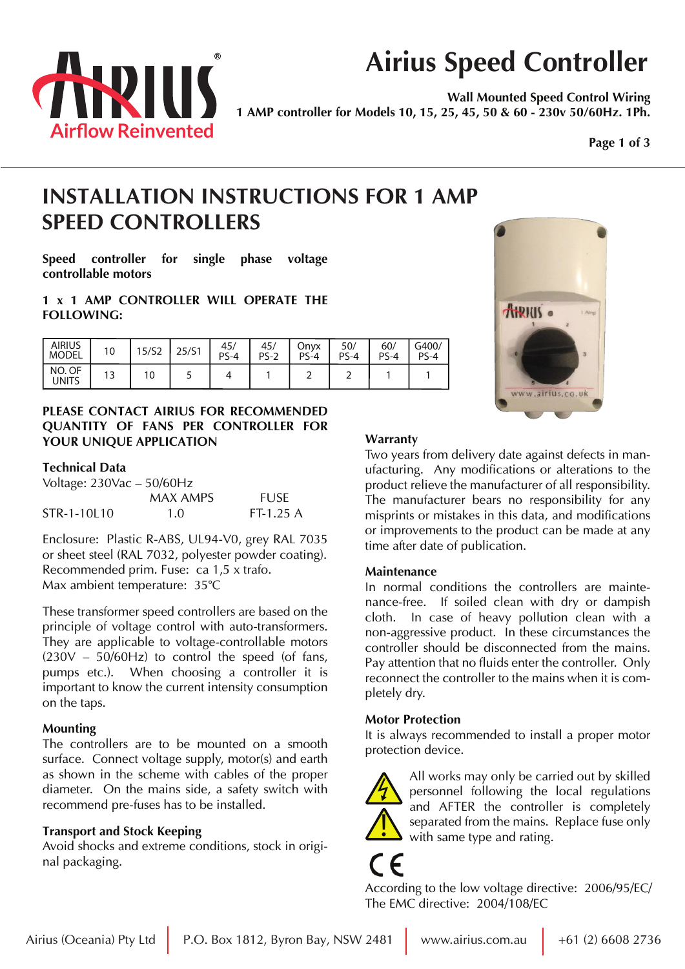

# **Airius Speed Controller**

**Wall Mounted Speed Control Wiring 1 AMP controller for Models 10, 15, 25, 45, 50 & 60 - 230v 50/60Hz. 1Ph.**

**Page 1 of 3**

## **INSTALLATION INSTRUCTIONS FOR 1 AMP SPEED CONTROLLERS**

**Speed controller for single phase voltage controllable motors**

**1 x 1 AMP CONTROLLER WILL OPERATE THE FOLLOWING:**

| <b>AIRIUS</b><br><b>MODEL</b> | 10  | 15/S2 | 25/51 | 45/<br>$PS-4$ | 45/<br>$PS-2$ | Onyx<br>$PS-4$ | 50/<br>$PS-4$ | 60/<br>$P\subseteq \varDelta$ | G400/<br>$PS-4$ |
|-------------------------------|-----|-------|-------|---------------|---------------|----------------|---------------|-------------------------------|-----------------|
| NO. OF<br>UNITS               | ر ا | 10    |       |               |               |                |               |                               |                 |

### **PLEASE CONTACT AIRIUS FOR RECOMMENDED QUANTITY OF FANS PER CONTROLLER FOR YOUR UNIQUE APPLICATION**

### **Technical Data**

| Voltage: $230\text{Vac} - 50/60\text{Hz}$ |          |             |  |  |  |  |  |  |
|-------------------------------------------|----------|-------------|--|--|--|--|--|--|
|                                           | MAX AMPS | <b>FUSE</b> |  |  |  |  |  |  |
| STR-1-10L10                               | 1.0      | $FT-1.25A$  |  |  |  |  |  |  |

Enclosure: Plastic R-ABS, UL94-V0, grey RAL 7035 or sheet steel (RAL 7032, polyester powder coating). Recommended prim. Fuse: ca 1,5 x trafo. Max ambient temperature: 35°C

These transformer speed controllers are based on the principle of voltage control with auto-transformers. They are applicable to voltage-controllable motors  $(230V - 50/60Hz)$  to control the speed (of fans, pumps etc.). When choosing a controller it is important to know the current intensity consumption on the taps.

### **Mounting**

The controllers are to be mounted on a smooth surface. Connect voltage supply, motor(s) and earth as shown in the scheme with cables of the proper diameter. On the mains side, a safety switch with recommend pre-fuses has to be installed.

## **Transport and Stock Keeping**

Avoid shocks and extreme conditions, stock in original packaging.

## **Warranty**

Two years from delivery date against defects in manufacturing. Any modifications or alterations to the product relieve the manufacturer of all responsibility. The manufacturer bears no responsibility for any misprints or mistakes in this data, and modifications or improvements to the product can be made at any time after date of publication.

### **Maintenance**

In normal conditions the controllers are maintenance-free. If soiled clean with dry or dampish cloth. In case of heavy pollution clean with a non-aggressive product. In these circumstances the controller should be disconnected from the mains. Pay attention that no fluids enter the controller. Only reconnect the controller to the mains when it is completely dry.

### **Motor Protection**

It is always recommended to install a proper motor protection device.



All works may only be carried out by skilled personnel following the local regulations and AFTER the controller is completely separated from the mains. Replace fuse only with same type and rating.

According to the low voltage directive: 2006/95/EC/ The EMC directive: 2004/108/EC

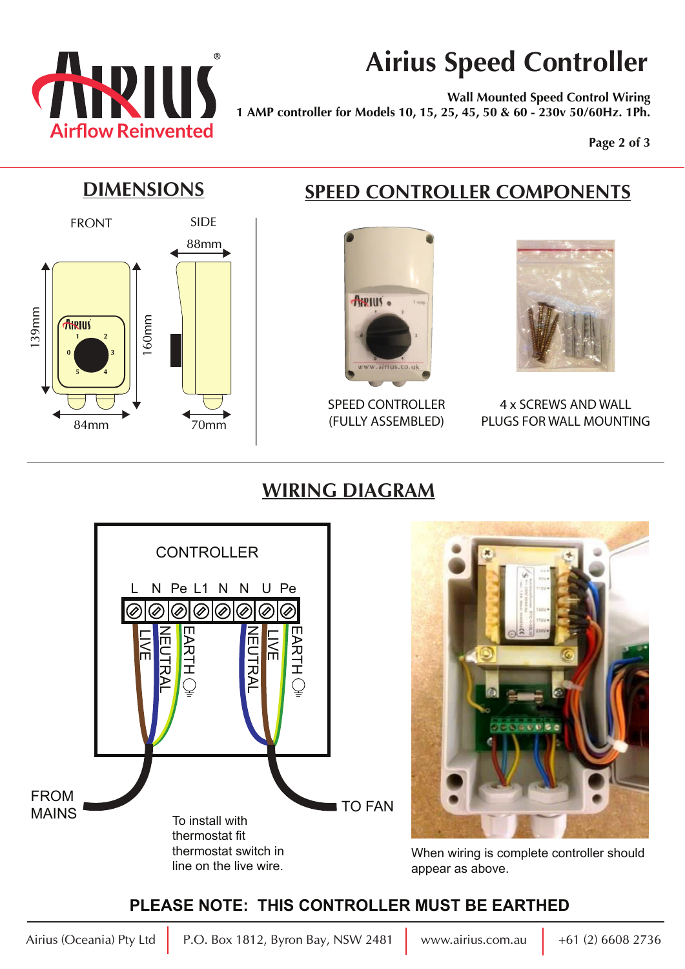

# **Airius Speed Controller**

**Wall Mounted Speed Control Wiring 1 AMP controller for Models 10, 15, 25, 45, 50 & 60 - 230v 50/60Hz. 1Ph.**

**Page 2 of 3**



## **DIMENSIONS SPEED CONTROLLER COMPONENTS**



SPEED CONTROLLER 70mm | (FULLY ASSEMBLED)



4 x SCREWS AND WALL PLUGS FOR WALL MOUNTING

## **WIRING DIAGRAM**





When wiring is complete controller should appear as above.

## **PLEASE NOTE: THIS CONTROLLER MUST BE EARTHED**